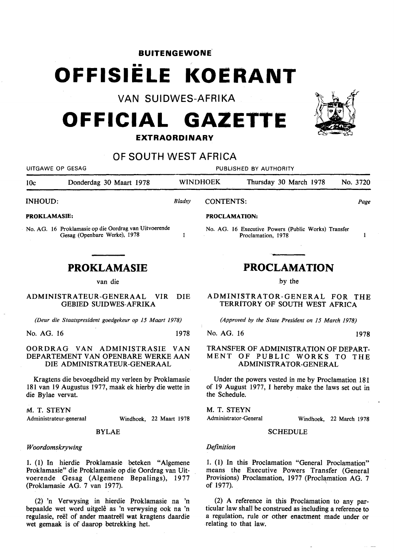**BUITENGEWONE .** 

## •• **OFFISIELE KOERANT**

**VAN SUIDWES-AFRIKA** 

# **OFFICIAL GAZETTE**

**EXTRAORDINARY** 

### **OF SOUTH WEST AFRICA**

| UITGAWE OP GESAG                                                                                                                                                                      |                                                                                       | PUBLISHED BY AUTHORITY |                                                                                                                                                                       |                                                                           |                        |  |                         |          |
|---------------------------------------------------------------------------------------------------------------------------------------------------------------------------------------|---------------------------------------------------------------------------------------|------------------------|-----------------------------------------------------------------------------------------------------------------------------------------------------------------------|---------------------------------------------------------------------------|------------------------|--|-------------------------|----------|
| 10c                                                                                                                                                                                   | Donderdag 30 Maart 1978                                                               |                        | <b>WINDHOEK</b>                                                                                                                                                       |                                                                           | Thursday 30 March 1978 |  |                         | No. 3720 |
| <b>INHOUD:</b>                                                                                                                                                                        |                                                                                       | Bladsy                 | <b>CONTENTS:</b>                                                                                                                                                      |                                                                           |                        |  |                         | Page     |
| <b>PROKLAMASIE:</b>                                                                                                                                                                   |                                                                                       |                        | PROCLAMATION:                                                                                                                                                         |                                                                           |                        |  |                         |          |
|                                                                                                                                                                                       | No. AG. 16 Proklamasie op die Oordrag van Uitvoerende<br>Gesag (Openbare Werke), 1978 | 1                      |                                                                                                                                                                       | No. AG. 16 Executive Powers (Public Works) Transfer<br>Proclamation, 1978 |                        |  |                         | 1        |
|                                                                                                                                                                                       | <b>PROKLAMASIE</b>                                                                    |                        |                                                                                                                                                                       |                                                                           |                        |  |                         |          |
|                                                                                                                                                                                       |                                                                                       |                        | <b>PROCLAMATION</b><br>by the                                                                                                                                         |                                                                           |                        |  |                         |          |
|                                                                                                                                                                                       | van die                                                                               |                        |                                                                                                                                                                       |                                                                           |                        |  |                         |          |
|                                                                                                                                                                                       | ADMINISTRATEUR-GENERAAL<br><b>VIR</b><br><b>GEBIED SUIDWES-AFRIKA</b>                 | <b>DIE</b>             |                                                                                                                                                                       | ADMINISTRATOR-GENERAL FOR THE<br>TERRITORY OF SOUTH WEST AFRICA           |                        |  |                         |          |
| (Deur die Staatspresident goedgekeur op 15 Maart 1978)                                                                                                                                |                                                                                       |                        | (Approved by the State President on 15 March 1978)                                                                                                                    |                                                                           |                        |  |                         |          |
| No. AG. 16                                                                                                                                                                            |                                                                                       | 1978                   | No. AG. 16                                                                                                                                                            |                                                                           |                        |  |                         | 1978     |
| OORDRAG VAN ADMINISTRASIE<br>VAN<br>DEPARTEMENT VAN OPENBARE WERKE AAN<br>DIE ADMINISTRATEUR-GENERAAL                                                                                 |                                                                                       |                        | TRANSFER OF ADMINISTRATION OF DEPART-<br>MENT OF PUBLIC WORKS TO THE<br>ADMINISTRATOR-GENERAL                                                                         |                                                                           |                        |  |                         |          |
| Kragtens die bevoegdheid my verleen by Proklamasie<br>181 van 19 Augustus 1977, maak ek hierby die wette in<br>die Bylae vervat.                                                      |                                                                                       |                        | Under the powers vested in me by Proclamation 181<br>of 19 August 1977, I hereby make the laws set out in<br>the Schedule.                                            |                                                                           |                        |  |                         |          |
| M. T. STEYN<br>Administrateur-generaal                                                                                                                                                | Windhoek, 22 Maart 1978                                                               |                        | M. T. STEYN                                                                                                                                                           | Administrator-General                                                     |                        |  | Windhoek, 22 March 1978 |          |
| <b>BYLAE</b>                                                                                                                                                                          |                                                                                       |                        | <b>SCHEDULE</b>                                                                                                                                                       |                                                                           |                        |  |                         |          |
|                                                                                                                                                                                       |                                                                                       |                        |                                                                                                                                                                       |                                                                           |                        |  |                         |          |
| Woordomskrywing                                                                                                                                                                       |                                                                                       |                        | Definition                                                                                                                                                            |                                                                           |                        |  |                         |          |
| 1. (1) In hierdie Proklamasie beteken "Algemene<br>Proklamasie" die Proklamasie op die Oordrag van Uit-<br>voerende Gesag (Algemene Bepalings), 1977<br>(Proklamasie AG. 7 van 1977). |                                                                                       |                        | 1. (1) In this Proclamation "General Proclamation"<br>means the Executive Powers Transfer (General<br>Provisions) Proclamation, 1977 (Proclamation AG. 7<br>of 1977). |                                                                           |                        |  |                         |          |

(2) 'n Verwysing in hierdie Proklamasie na 'n bepaalde wet wotd uitgele as 'n verwysing ook na 'n regulasie, reël of ander maatreël wat kragtens daardie wet gemaak is of daarop betrekking het.

(2) A reference in this Proclamation to any particular law shall be construed as ineluding a reference to a regulation, rule or other enactment made under or relating to that law.